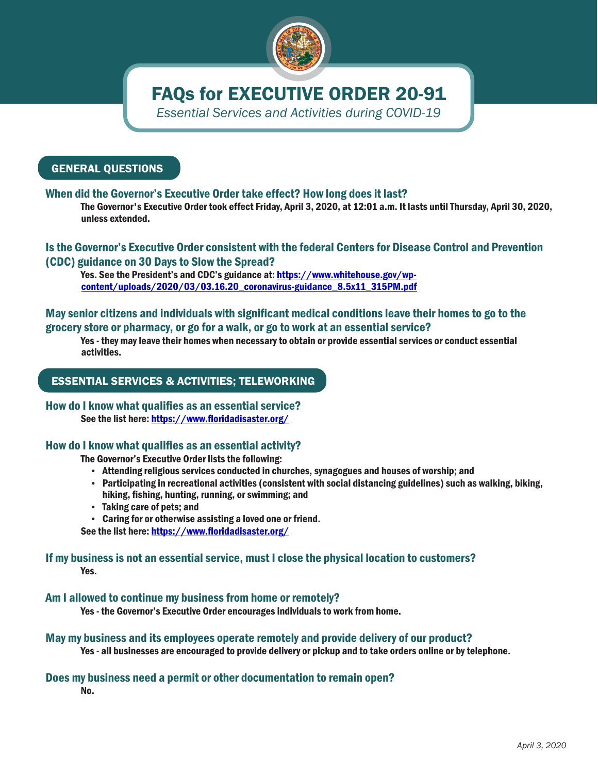

# FAQs for EXECUTIVE ORDER 20-91

*Essential Services and Activities during COVID-19*

# GENERAL QUESTIONS

# When did the Governor's Executive Order take effect? How long does it last?

The Governor's Executive Order took effect Friday, April 3, 2020, at 12:01 a.m. It lasts until Thursday, April 30, 2020, unless extended.

## Is the Governor's Executive Order consistent with the federal Centers for Disease Control and Prevention (CDC) guidance on 30 Days to Slow the Spread?

Yes. See the President's and CDC's guidance at: [https://www.whitehouse.gov/wp](https://www.whitehouse.gov/wp-content/uploads/2020/03/03.16.20_coronavirus-guidance_8.5x11_315PM.pdf)[content/uploads/2020/03/03.16.20\\_coronavirus-guidance\\_8.5x11\\_315PM.pdf](https://www.whitehouse.gov/wp-content/uploads/2020/03/03.16.20_coronavirus-guidance_8.5x11_315PM.pdf)

# May senior citizens and individuals with significant medical conditions leave their homes to go to the grocery store or pharmacy, or go for a walk, or go to work at an essential service?

Yes - they may leave their homes when necessary to obtain or provide essential services or conduct essential activities.

# ESSENTIAL SERVICES & ACTIVITIES; TELEWORKING

### How do I know what qualifies as an essential service? See the list here:<https://www.floridadisaster.org/>

## How do I know what qualifies as an essential activity?

The Governor's Executive Order lists the following:

- Attending religious services conducted in churches, synagogues and houses of worship; and
- Participating in recreational activities (consistent with social distancing guidelines) such as walking, biking, hiking, fishing, hunting, running, or swimming; and
- Taking care of pets; and
- Caring for or otherwise assisting a loved one or friend.

See the list here:<https://www.floridadisaster.org/>

## Yes. If my business is not an essential service, must I close the physical location to customers?

Am I allowed to continue my business from home or remotely?

Yes - the Governor's Executive Order encourages individuals to work from home.

## May my business and its employees operate remotely and provide delivery of our product?

Yes - all businesses are encouraged to provide delivery or pickup and to take orders online or by telephone.

## Does my business need a permit or other documentation to remain open?

No.